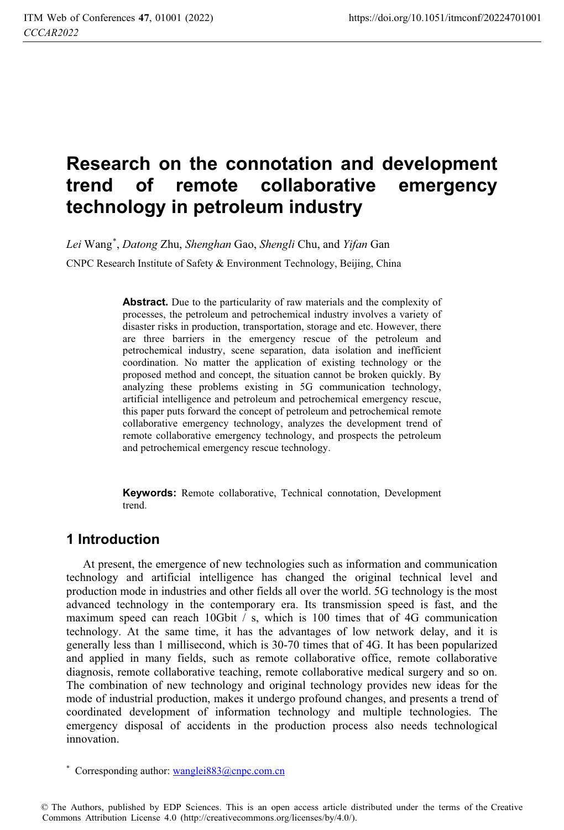# **Research on the connotation and development trend of remote collaborative emergency technology in petroleum industry**

*Lei* Wang\* , *Datong* Zhu, *Shenghan* Gao, *Shengli* Chu, and *Yifan* Gan

CNPC Research Institute of Safety & Environment Technology, Beijing, China

Abstract. Due to the particularity of raw materials and the complexity of processes, the petroleum and petrochemical industry involves a variety of disaster risks in production, transportation, storage and etc. However, there are three barriers in the emergency rescue of the petroleum and petrochemical industry, scene separation, data isolation and inefficient coordination. No matter the application of existing technology or the proposed method and concept, the situation cannot be broken quickly. By analyzing these problems existing in 5G communication technology, artificial intelligence and petroleum and petrochemical emergency rescue, this paper puts forward the concept of petroleum and petrochemical remote collaborative emergency technology, analyzes the development trend of remote collaborative emergency technology, and prospects the petroleum and petrochemical emergency rescue technology.

**Keywords:** Remote collaborative, Technical connotation, Development trend.

## **1 Introduction**

At present, the emergence of new technologies such as information and communication technology and artificial intelligence has changed the original technical level and production mode in industries and other fields all over the world. 5G technology is the most advanced technology in the contemporary era. Its transmission speed is fast, and the maximum speed can reach 10Gbit / s, which is 100 times that of 4G communication technology. At the same time, it has the advantages of low network delay, and it is generally less than 1 millisecond, which is 30-70 times that of 4G. It has been popularized and applied in many fields, such as remote collaborative office, remote collaborative diagnosis, remote collaborative teaching, remote collaborative medical surgery and so on. The combination of new technology and original technology provides new ideas for the mode of industrial production, makes it undergo profound changes, and presents a trend of coordinated development of information technology and multiple technologies. The emergency disposal of accidents in the production process also needs technological innovation.

\* Corresponding author: wanglei883@cnpc.com.cn

© The Authors, published by EDP Sciences. This is an open access article distributed under the terms of the Creative Commons Attribution License 4.0 (http://creativecommons.org/licenses/by/4.0/).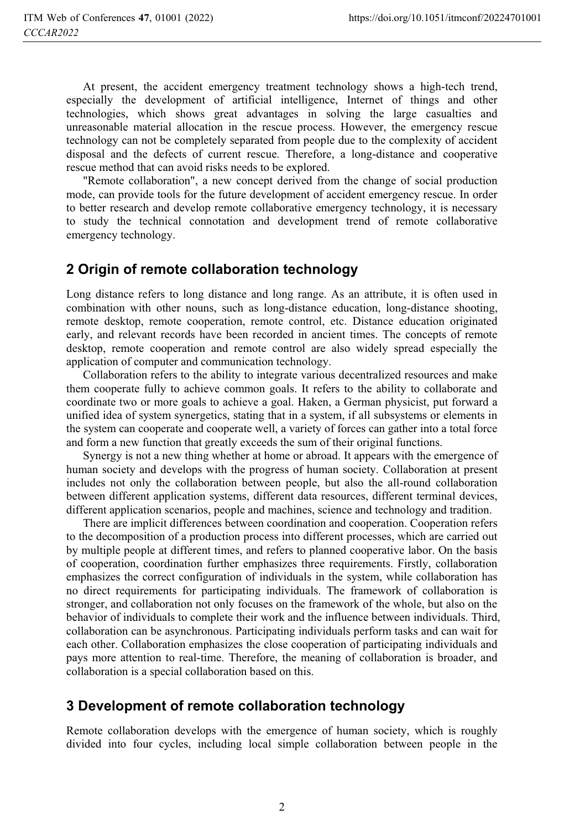At present, the accident emergency treatment technology shows a high-tech trend, especially the development of artificial intelligence, Internet of things and other technologies, which shows great advantages in solving the large casualties and unreasonable material allocation in the rescue process. However, the emergency rescue technology can not be completely separated from people due to the complexity of accident disposal and the defects of current rescue. Therefore, a long-distance and cooperative rescue method that can avoid risks needs to be explored.

"Remote collaboration", a new concept derived from the change of social production mode, can provide tools for the future development of accident emergency rescue. In order to better research and develop remote collaborative emergency technology, it is necessary to study the technical connotation and development trend of remote collaborative emergency technology.

#### **2 Origin of remote collaboration technology**

Long distance refers to long distance and long range. As an attribute, it is often used in combination with other nouns, such as long-distance education, long-distance shooting, remote desktop, remote cooperation, remote control, etc. Distance education originated early, and relevant records have been recorded in ancient times. The concepts of remote desktop, remote cooperation and remote control are also widely spread especially the application of computer and communication technology.

Collaboration refers to the ability to integrate various decentralized resources and make them cooperate fully to achieve common goals. It refers to the ability to collaborate and coordinate two or more goals to achieve a goal. Haken, a German physicist, put forward a unified idea of system synergetics, stating that in a system, if all subsystems or elements in the system can cooperate and cooperate well, a variety of forces can gather into a total force and form a new function that greatly exceeds the sum of their original functions.

Synergy is not a new thing whether at home or abroad. It appears with the emergence of human society and develops with the progress of human society. Collaboration at present includes not only the collaboration between people, but also the all-round collaboration between different application systems, different data resources, different terminal devices, different application scenarios, people and machines, science and technology and tradition.

There are implicit differences between coordination and cooperation. Cooperation refers to the decomposition of a production process into different processes, which are carried out by multiple people at different times, and refers to planned cooperative labor. On the basis of cooperation, coordination further emphasizes three requirements. Firstly, collaboration emphasizes the correct configuration of individuals in the system, while collaboration has no direct requirements for participating individuals. The framework of collaboration is stronger, and collaboration not only focuses on the framework of the whole, but also on the behavior of individuals to complete their work and the influence between individuals. Third, collaboration can be asynchronous. Participating individuals perform tasks and can wait for each other. Collaboration emphasizes the close cooperation of participating individuals and pays more attention to real-time. Therefore, the meaning of collaboration is broader, and collaboration is a special collaboration based on this.

#### **3 Development of remote collaboration technology**

Remote collaboration develops with the emergence of human society, which is roughly divided into four cycles, including local simple collaboration between people in the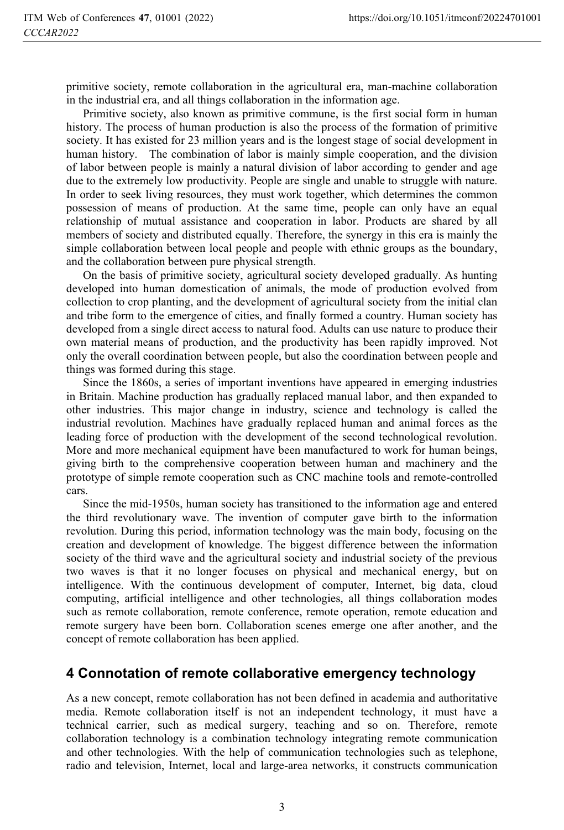primitive society, remote collaboration in the agricultural era, man-machine collaboration in the industrial era, and all things collaboration in the information age.

Primitive society, also known as primitive commune, is the first social form in human history. The process of human production is also the process of the formation of primitive society. It has existed for 23 million years and is the longest stage of social development in human history. The combination of labor is mainly simple cooperation, and the division of labor between people is mainly a natural division of labor according to gender and age due to the extremely low productivity. People are single and unable to struggle with nature. In order to seek living resources, they must work together, which determines the common possession of means of production. At the same time, people can only have an equal relationship of mutual assistance and cooperation in labor. Products are shared by all members of society and distributed equally. Therefore, the synergy in this era is mainly the simple collaboration between local people and people with ethnic groups as the boundary, and the collaboration between pure physical strength.

On the basis of primitive society, agricultural society developed gradually. As hunting developed into human domestication of animals, the mode of production evolved from collection to crop planting, and the development of agricultural society from the initial clan and tribe form to the emergence of cities, and finally formed a country. Human society has developed from a single direct access to natural food. Adults can use nature to produce their own material means of production, and the productivity has been rapidly improved. Not only the overall coordination between people, but also the coordination between people and things was formed during this stage.

Since the 1860s, a series of important inventions have appeared in emerging industries in Britain. Machine production has gradually replaced manual labor, and then expanded to other industries. This major change in industry, science and technology is called the industrial revolution. Machines have gradually replaced human and animal forces as the leading force of production with the development of the second technological revolution. More and more mechanical equipment have been manufactured to work for human beings, giving birth to the comprehensive cooperation between human and machinery and the prototype of simple remote cooperation such as CNC machine tools and remote-controlled cars.

Since the mid-1950s, human society has transitioned to the information age and entered the third revolutionary wave. The invention of computer gave birth to the information revolution. During this period, information technology was the main body, focusing on the creation and development of knowledge. The biggest difference between the information society of the third wave and the agricultural society and industrial society of the previous two waves is that it no longer focuses on physical and mechanical energy, but on intelligence. With the continuous development of computer, Internet, big data, cloud computing, artificial intelligence and other technologies, all things collaboration modes such as remote collaboration, remote conference, remote operation, remote education and remote surgery have been born. Collaboration scenes emerge one after another, and the concept of remote collaboration has been applied.

## **4 Connotation of remote collaborative emergency technology**

As a new concept, remote collaboration has not been defined in academia and authoritative media. Remote collaboration itself is not an independent technology, it must have a technical carrier, such as medical surgery, teaching and so on. Therefore, remote collaboration technology is a combination technology integrating remote communication and other technologies. With the help of communication technologies such as telephone, radio and television, Internet, local and large-area networks, it constructs communication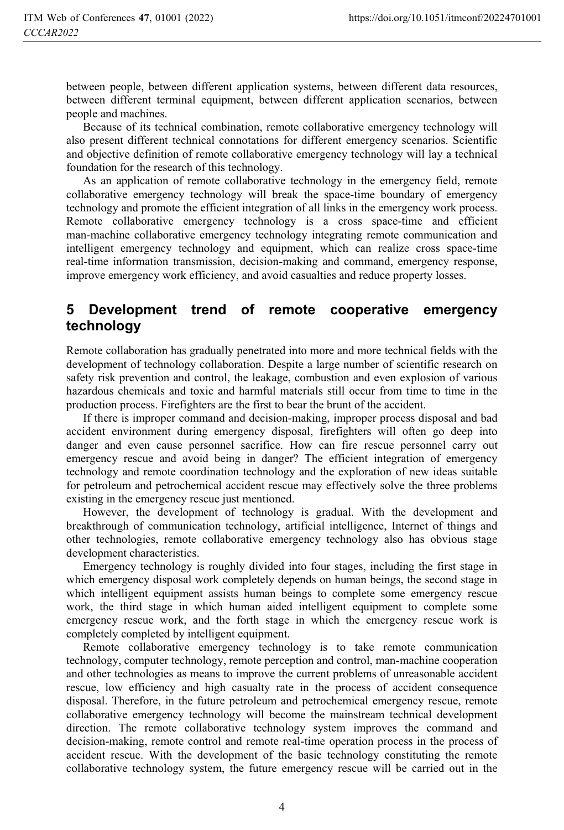between people, between different application systems, between different data resources, between different terminal equipment, between different application scenarios, between people and machines.

Because of its technical combination, remote collaborative emergency technology will also present different technical connotations for different emergency scenarios. Scientific and objective definition of remote collaborative emergency technology will lay a technical foundation for the research of this technology.

As an application of remote collaborative technology in the emergency field, remote collaborative emergency technology will break the space-time boundary of emergency technology and promote the efficient integration of all links in the emergency work process. Remote collaborative emergency technology is a cross space-time and efficient man-machine collaborative emergency technology integrating remote communication and intelligent emergency technology and equipment, which can realize cross space-time real-time information transmission, decision-making and command, emergency response, improve emergency work efficiency, and avoid casualties and reduce property losses.

## **5 Development trend of remote cooperative emergency technology**

Remote collaboration has gradually penetrated into more and more technical fields with the development of technology collaboration. Despite a large number of scientific research on safety risk prevention and control, the leakage, combustion and even explosion of various hazardous chemicals and toxic and harmful materials still occur from time to time in the production process. Firefighters are the first to bear the brunt of the accident.

If there is improper command and decision-making, improper process disposal and bad accident environment during emergency disposal, firefighters will often go deep into danger and even cause personnel sacrifice. How can fire rescue personnel carry out emergency rescue and avoid being in danger? The efficient integration of emergency technology and remote coordination technology and the exploration of new ideas suitable for petroleum and petrochemical accident rescue may effectively solve the three problems existing in the emergency rescue just mentioned.

However, the development of technology is gradual. With the development and breakthrough of communication technology, artificial intelligence, Internet of things and other technologies, remote collaborative emergency technology also has obvious stage development characteristics.

Emergency technology is roughly divided into four stages, including the first stage in which emergency disposal work completely depends on human beings, the second stage in which intelligent equipment assists human beings to complete some emergency rescue work, the third stage in which human aided intelligent equipment to complete some emergency rescue work, and the forth stage in which the emergency rescue work is completely completed by intelligent equipment.

Remote collaborative emergency technology is to take remote communication technology, computer technology, remote perception and control, man-machine cooperation and other technologies as means to improve the current problems of unreasonable accident rescue, low efficiency and high casualty rate in the process of accident consequence disposal. Therefore, in the future petroleum and petrochemical emergency rescue, remote collaborative emergency technology will become the mainstream technical development direction. The remote collaborative technology system improves the command and decision-making, remote control and remote real-time operation process in the process of accident rescue. With the development of the basic technology constituting the remote collaborative technology system, the future emergency rescue will be carried out in the